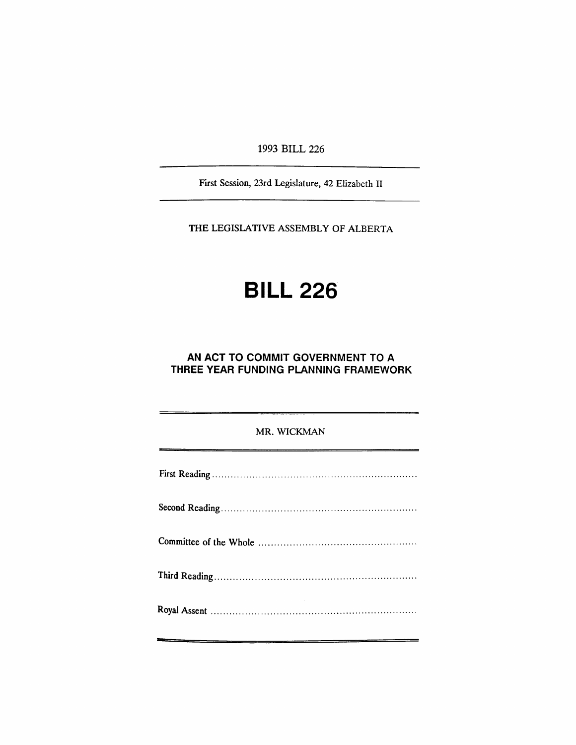1993 BILL 226

First Session, 23rd Legislature, 42 Elizabeth II

THE LEGISLATIVE ASSEMBLY OF ALBERTA

# **BILL 226**

## **AN ACT TO COMMIT GOVERNMENT TO A THREE YEAR FUNDING PLANNING FRAMEWORK**

## MR. WICKMAN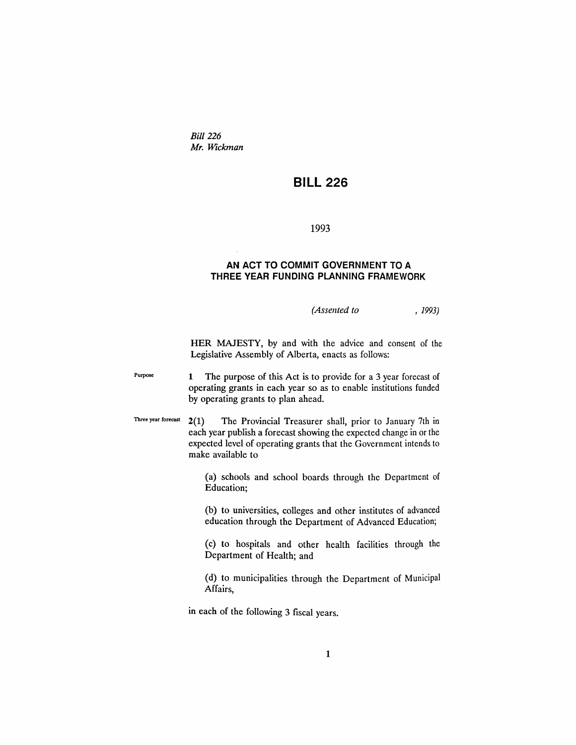*Bill* 226 *Mr. Wickman*

# **BILL 226**

### 1993

### **AN ACT TO COMMIT GOVERNMENT TO A THREE YEAR FUNDING PLANNING FRAMEWORK**

*(Assented to* , 1993)

HER MAJESTY, by and with the advice and consent of the Legislative Assembly of Alberta, enacts as follows:

Purpose 1 The purpose of this Act is to provide for a 3 year forecast of operating grants in each year so as to enable institutions funded by operating grants to plan ahead.

Three year forecast 2(1) The Provincial Treasurer shall, prior to January 7th in each year publish a forecast showing the expected change in or the expected level of operating grants that the Government intends to make available to

> (a) schools and school boards through the Department of Education;

> (b) to universities, colleges and other institutes of advanced education through the Department of Advanced Education;

> (c) to hospitals and other health facilities through the Department of Health; and

> (d) to municipalities through the Department of Municipal Affairs,

in each of the following 3 fiscal years.